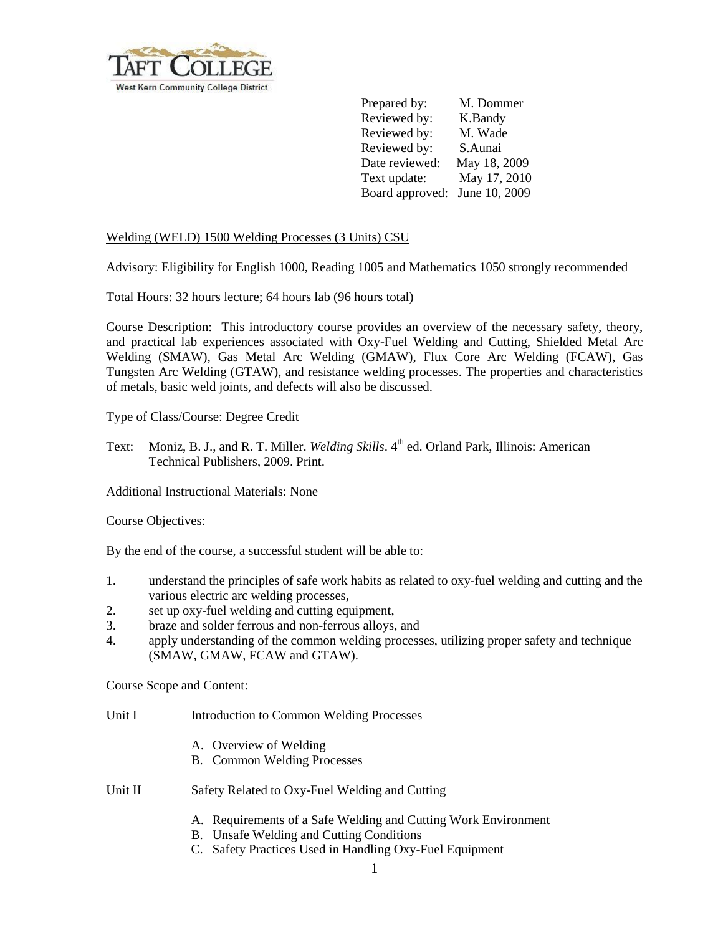

Prepared by: M. Dommer Reviewed by: K.Bandy Reviewed by: M. Wade Reviewed by: S.Aunai Date reviewed: May 18, 2009 Text update: May 17, 2010 Board approved: June 10, 2009

## Welding (WELD) 1500 Welding Processes (3 Units) CSU

Advisory: Eligibility for English 1000, Reading 1005 and Mathematics 1050 strongly recommended

Total Hours: 32 hours lecture; 64 hours lab (96 hours total)

Course Description: This introductory course provides an overview of the necessary safety, theory, and practical lab experiences associated with Oxy-Fuel Welding and Cutting, Shielded Metal Arc Welding (SMAW), Gas Metal Arc Welding (GMAW), Flux Core Arc Welding (FCAW), Gas Tungsten Arc Welding (GTAW), and resistance welding processes. The properties and characteristics of metals, basic weld joints, and defects will also be discussed.

Type of Class/Course: Degree Credit

Text: Moniz, B. J., and R. T. Miller. *Welding Skills*. 4<sup>th</sup> ed. Orland Park, Illinois: American Technical Publishers, 2009. Print.

Additional Instructional Materials: None

Course Objectives:

By the end of the course, a successful student will be able to:

- 1. understand the principles of safe work habits as related to oxy-fuel welding and cutting and the various electric arc welding processes,
- 2. set up oxy-fuel welding and cutting equipment,
- 3. braze and solder ferrous and non-ferrous alloys, and
- 4. apply understanding of the common welding processes, utilizing proper safety and technique (SMAW, GMAW, FCAW and GTAW).

Course Scope and Content:

- Unit I Introduction to Common Welding Processes
	- A. Overview of Welding
	- B. Common Welding Processes
- Unit II Safety Related to Oxy-Fuel Welding and Cutting
	- A. Requirements of a Safe Welding and Cutting Work Environment
	- B. Unsafe Welding and Cutting Conditions
	- C. Safety Practices Used in Handling Oxy-Fuel Equipment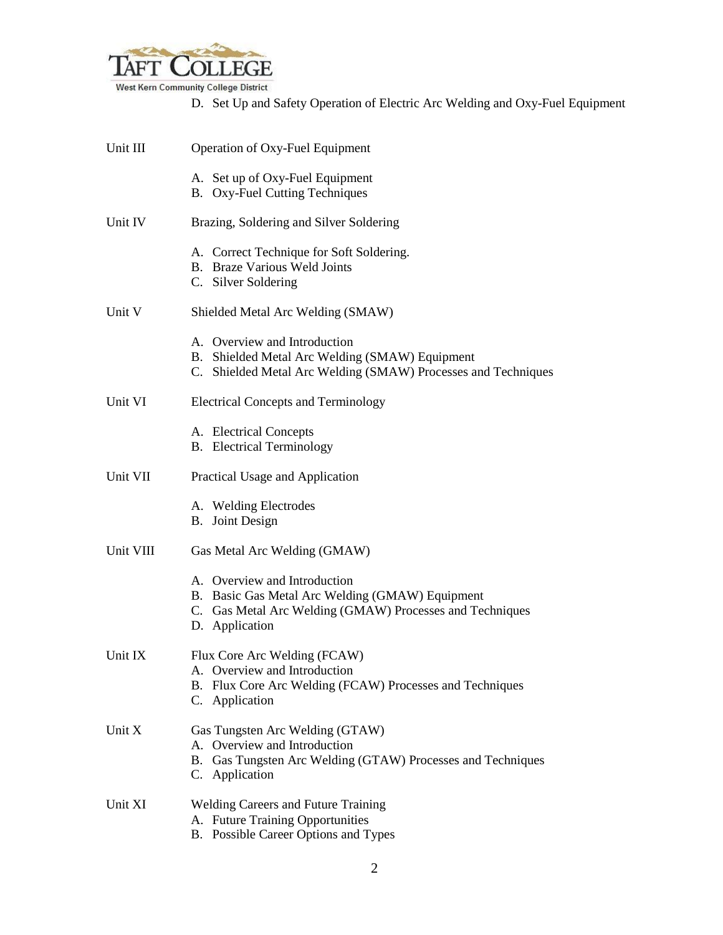

West Kern Community College District

D. Set Up and Safety Operation of Electric Arc Welding and Oxy-Fuel Equipment

| Unit III  | Operation of Oxy-Fuel Equipment                                                                                                                               |
|-----------|---------------------------------------------------------------------------------------------------------------------------------------------------------------|
|           | A. Set up of Oxy-Fuel Equipment<br><b>B.</b> Oxy-Fuel Cutting Techniques                                                                                      |
| Unit IV   | Brazing, Soldering and Silver Soldering                                                                                                                       |
|           | A. Correct Technique for Soft Soldering.<br><b>B.</b> Braze Various Weld Joints<br>C. Silver Soldering                                                        |
| Unit V    | Shielded Metal Arc Welding (SMAW)                                                                                                                             |
|           | A. Overview and Introduction<br>B. Shielded Metal Arc Welding (SMAW) Equipment<br>C. Shielded Metal Arc Welding (SMAW) Processes and Techniques               |
| Unit VI   | <b>Electrical Concepts and Terminology</b>                                                                                                                    |
|           | A. Electrical Concepts<br><b>B.</b> Electrical Terminology                                                                                                    |
| Unit VII  | Practical Usage and Application                                                                                                                               |
|           | A. Welding Electrodes<br><b>B.</b> Joint Design                                                                                                               |
| Unit VIII | Gas Metal Arc Welding (GMAW)                                                                                                                                  |
|           | A. Overview and Introduction<br>B. Basic Gas Metal Arc Welding (GMAW) Equipment<br>C. Gas Metal Arc Welding (GMAW) Processes and Techniques<br>D. Application |
| Unit IX   | Flux Core Arc Welding (FCAW)<br>A. Overview and Introduction<br>B. Flux Core Arc Welding (FCAW) Processes and Techniques<br>C. Application                    |
| Unit $X$  | Gas Tungsten Arc Welding (GTAW)<br>A. Overview and Introduction<br>B. Gas Tungsten Arc Welding (GTAW) Processes and Techniques<br>C. Application              |
| Unit XI   | <b>Welding Careers and Future Training</b><br>A. Future Training Opportunities<br>B. Possible Career Options and Types                                        |